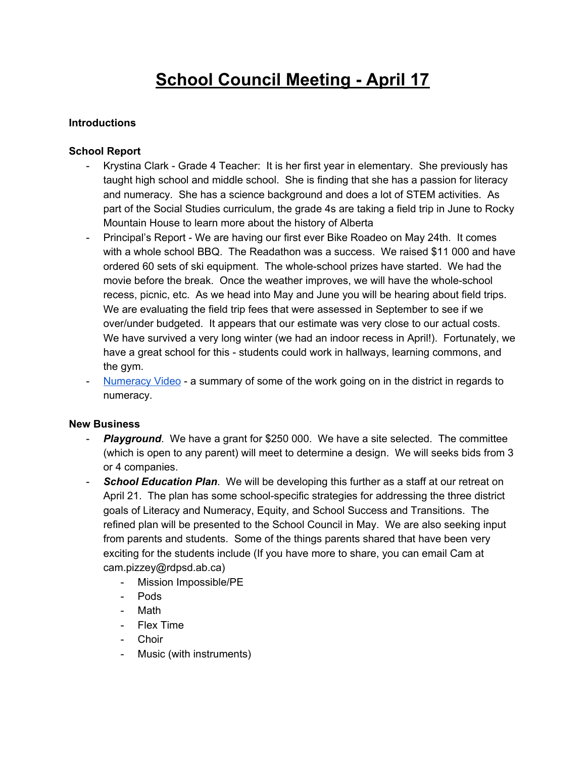# **School Council Meeting - April 17**

# **Introductions**

### **School Report**

- Krystina Clark Grade 4 Teacher: It is her first year in elementary. She previously has taught high school and middle school. She is finding that she has a passion for literacy and numeracy. She has a science background and does a lot of STEM activities. As part of the Social Studies curriculum, the grade 4s are taking a field trip in June to Rocky Mountain House to learn more about the history of Alberta
- Principal's Report We are having our first ever Bike Roadeo on May 24th. It comes with a whole school BBQ. The Readathon was a success. We raised \$11 000 and have ordered 60 sets of ski equipment. The whole-school prizes have started. We had the movie before the break. Once the weather improves, we will have the whole-school recess, picnic, etc. As we head into May and June you will be hearing about field trips. We are evaluating the field trip fees that were assessed in September to see if we over/under budgeted. It appears that our estimate was very close to our actual costs. We have survived a very long winter (we had an indoor recess in April!). Fortunately, we have a great school for this - students could work in hallways, learning commons, and the gym.
- [Numeracy](https://vimeo.com/262759091) Video a summary of some of the work going on in the district in regards to numeracy.

### **New Business**

- *Playground.* We have a grant for \$250 000. We have a site selected. The committee (which is open to any parent) will meet to determine a design. We will seeks bids from 3 or 4 companies.
- *School Education Plan*. We will be developing this further as a staff at our retreat on April 21. The plan has some school-specific strategies for addressing the three district goals of Literacy and Numeracy, Equity, and School Success and Transitions. The refined plan will be presented to the School Council in May. We are also seeking input from parents and students. Some of the things parents shared that have been very exciting for the students include (If you have more to share, you can email Cam at cam.pizzey@rdpsd.ab.ca)
	- Mission Impossible/PE
	- Pods
	- Math
	- Flex Time
	- Choir
	- Music (with instruments)